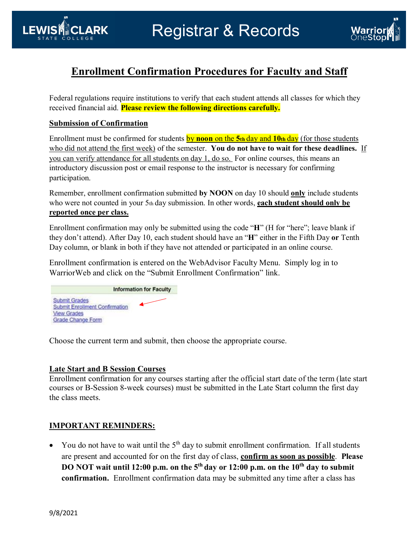

# **Enrollment Confirmation Procedures for Faculty and Staff**

Federal regulations require institutions to verify that each student attends all classes for which they received financial aid. **Please review the following directions carefully.**

### **Submission of Confirmation**

LEWIS **ANCLARK** 

Enrollment must be confirmed for students by **noon** on the **5th** day and **10th** day (for those students who did not attend the first week) of the semester. **You do not have to wait for these deadlines.** If you can verify attendance for all students on day 1, do so. For online courses, this means an introductory discussion post or email response to the instructor is necessary for confirming participation.

Remember, enrollment confirmation submitted **by NOON** on day 10 should **only** include students who were not counted in your 5<sup>th</sup> day submission. In other words, **each student should only be reported once per class.** 

Enrollment confirmation may only be submitted using the code "**H**" (H for "here"; leave blank if they don't attend). After Day 10, each student should have an "**H**" either in the Fifth Day **or** Tenth Day column, or blank in both if they have not attended or participated in an online course.

Enrollment confirmation is entered on the WebAdvisor Faculty Menu. Simply log in to WarriorWeb and click on the "Submit Enrollment Confirmation" link.

**Information for Faculty** Submit Grades **Submit Enrollment Confirmation View Grades** Grade Change Form

Choose the current term and submit, then choose the appropriate course.

### **Late Start and B Session Courses**

Enrollment confirmation for any courses starting after the official start date of the term (late start courses or B-Session 8-week courses) must be submitted in the Late Start column the first day the class meets.

# **IMPORTANT REMINDERS:**

• You do not have to wait until the  $5<sup>th</sup>$  day to submit enrollment confirmation. If all students are present and accounted for on the first day of class, **confirm as soon as possible**. **Please DO NOT wait until 12:00 p.m. on the 5<sup>th</sup> day or 12:00 p.m. on the 10<sup>th</sup> day to submit confirmation.** Enrollment confirmation data may be submitted any time after a class has